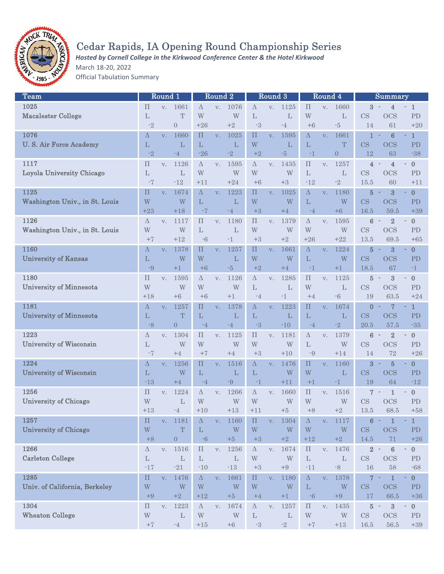

# Cedar Rapids, IA Opening Round Championship Series

*Hosted by Cornell College in the Kirkwood Conference Center & the Hotel Kirkwood*

March 18-20, 2022

Official Tabulation Summary

| Team                           |                         | Round 1        |                  |                    | Round 2        |                |                         | Round 3              |                         |                         | Round 4        |                         |                        | <b>Summary</b>                                      |                                      |
|--------------------------------|-------------------------|----------------|------------------|--------------------|----------------|----------------|-------------------------|----------------------|-------------------------|-------------------------|----------------|-------------------------|------------------------|-----------------------------------------------------|--------------------------------------|
| 1025                           | $\prod$                 | V.             | 1661             | $\Delta$           | V.             | 1076           | Δ                       | V.                   | 1125                    | П                       | V.             | 1660                    | 3                      | 4                                                   | $\mathbf{1}$<br>٠                    |
| <b>Macalester College</b>      | L                       |                | T                | W                  |                | W              | L                       |                      | L                       | W                       |                | L                       | CS                     | <b>OCS</b>                                          | PD                                   |
|                                | $-2$                    |                | $\overline{0}$   | $+26$              |                | $+2$           | -3                      |                      | -4                      | $+6$                    |                | $-5$                    | 14                     | 61                                                  | $+20$                                |
| 1076                           |                         |                |                  |                    |                |                |                         |                      |                         |                         |                |                         |                        |                                                     |                                      |
|                                | Δ                       | V.             | 1660             | $\boldsymbol{\Pi}$ | V.             | 1025           | $\Pi$                   | V.                   | 1595                    | Δ                       | V.             | 1661                    | $\mathbf{1}$           | $6\phantom{1}6$                                     | $\mathbf{1}$                         |
| <b>U.S. Air Force Academy</b>  | L                       |                | L                | L                  |                | $\mathbf{L}$   | W                       |                      | L                       | L                       |                | T                       | $\overline{\text{CS}}$ | <b>OCS</b>                                          | PD                                   |
|                                | $-2$                    |                | $-4$             | $-26$              |                | $-2$           | $+2$                    |                      | $\mathbin{\text{-}5}$   | $-1$                    |                | $\overline{0}$          | 12                     | 63                                                  | $-38$                                |
| 1117                           | $\prod$                 | V.             | 1126             | $\Delta$           | V.             | 1595           | Δ                       | V.                   | 1435                    | $\Pi$                   | V.             | 1257                    | 4                      | $\overline{4}$                                      | $\boldsymbol{0}$                     |
| Loyola University Chicago      | $\mathbf{L}$            |                | L                | W                  |                | W              | W                       |                      | $\ensuremath{\text{W}}$ | L                       |                | $\mathbf{L}$            | CS                     | <b>OCS</b>                                          | PD                                   |
|                                | $-7$                    |                | $-12$            | +11                |                | $+24$          | $+6$                    |                      | $+3$                    | $-12$                   |                | $-2$                    | 15.5                   | 60                                                  | $+11$                                |
| 1125                           | $\prod$                 | V.             | 1674             | $\Delta$           | V.             | 1223           | $\prod$                 | V.                   | 1025                    | $\Delta$                | V <sub>1</sub> | 1180                    | 5                      | $\overline{\mathbf{3}}$<br>$\overline{\phantom{a}}$ | $\bf{0}$<br>٠                        |
| Washington Univ., in St. Louis | W                       |                | W                | L                  |                | $\mathbf{L}$   | W                       |                      | W                       | $\mathbf L$             |                | W                       | $\overline{\text{CS}}$ | <b>OCS</b>                                          | PD                                   |
|                                | $+23$                   |                | $+18$            | $-7$               |                | $-4$           | $+3$                    |                      | $+4$                    | $-4$                    |                | $+6$                    | 16.5                   | 59.5                                                | $+39$                                |
| 1126                           | Δ                       | V <sub>1</sub> | 1117             | П                  | V.             | 1180           | П                       | V.                   | 1379                    | Δ                       | V.             | 1595                    | $6\phantom{1}6$        | $\overline{2}$                                      | $\bf{0}$                             |
| Washington Univ., in St. Louis | W                       |                | W                | L                  |                | $\mathbf{L}$   | W                       |                      | W                       | W                       |                | W                       | CS                     | <b>OCS</b>                                          | ${\rm PD}$                           |
|                                | $+7$                    |                | $+12$            | $-6$               |                | $-1$           | $+3$                    |                      | $+2$                    | $+26$                   |                | $+22$                   | 13.5                   | 69.5                                                | $+65$                                |
| 1160                           |                         |                |                  |                    |                |                | $\Pi$                   |                      |                         |                         |                |                         |                        |                                                     |                                      |
|                                | Δ                       | V.             | 1378             | $\prod$            | V.             | 1257           |                         | V.                   | 1661                    | $\Delta$                | V.             | 1224                    | 5                      | $\bf{3}$<br>$\overline{\phantom{a}}$                | $\bf{0}$                             |
| <b>University of Kansas</b>    | $\mathbf{L}$            |                | W                | W                  |                | L              | W                       |                      | W                       | L                       |                | W                       | CS                     | <b>OCS</b>                                          | PD                                   |
|                                | -9                      |                | $+1$             | $+6$               |                | $-5$           | $+2$                    |                      | $+4$                    | $-1$                    |                | $+1$                    | 18.5                   | 67                                                  | $-1$                                 |
| 1180                           | $\boldsymbol{\Pi}$      | V.             | 1595             | $\Delta$           | V.             | 1126           | Δ                       | V.                   | 1285                    | $\prod$                 | V.             | 1125                    | $\overline{5}$         | 3<br>$\overline{\phantom{a}}$                       | $\bf{0}$                             |
| <b>University of Minnesota</b> | W                       |                | W                | W                  |                | W              | L                       |                      | $\mathbf{L}$            | W                       |                | $\mathbf{L}$            | CS                     | <b>OCS</b>                                          | PD                                   |
|                                | $+18$                   |                | $+6$             | $+6$               |                | $+1$           | $-4$                    |                      | $-1$                    | $+4$                    |                | $-6$                    | 19                     | 63.5                                                | $+24$                                |
| 1181                           | Δ                       | V.             | 1257             | $\prod$            | V.             | 1378           | $\Delta$                | V.                   | 1223                    | $\prod$                 | V.             | 1674                    | 0                      | $\overline{7}$                                      | $\mathbf{1}$<br>٠                    |
| <b>University of Minnesota</b> | L                       |                | T                | L                  |                | L              | L                       |                      | L                       | L                       |                | L                       | $\overline{\text{CS}}$ | <b>OCS</b>                                          | PD                                   |
|                                | $-8$                    |                | $\overline{0}$   | $-4$               |                | $-4$           | $-3$                    |                      | $-10$                   | $-4$                    |                | $-2$                    | 20.5                   | 57.5                                                | $-35$                                |
| 1223                           | Δ                       | V.             | 1304             | $\prod$            | V.             | 1125           | $\boldsymbol{\Pi}$      | V.                   | 1181                    | $\Delta$                | V.             | 1379                    | $\bf 6$                | $\overline{2}$<br>$\sim$                            | $\bf{0}$                             |
| <b>University of Wisconsin</b> | L                       |                | W                | W                  |                | W              | W                       |                      | W                       | L                       |                | W                       | CS                     | <b>OCS</b>                                          | PD                                   |
|                                | $-7$                    |                | $+4$             | $+7$               |                | $+4$           | $+3$                    |                      | $+10$                   | $-9$                    |                | $+14$                   | 14                     | 72                                                  | $+26$                                |
| 1224                           | Δ                       | V.             | 1256             | $\prod$            | V.             | 1516           | Δ                       | V.                   | 1476                    | $\prod$                 | V.             | 1160                    | 3                      | $\overline{5}$                                      | $\bf{0}$                             |
| <b>University of Wisconsin</b> | L                       |                | W                | L                  |                | L              | L                       |                      | W                       | W                       |                | L                       | CS                     | OCS                                                 | PD                                   |
|                                | $-13$                   |                | $+4$             | $-4$               |                | $-9$           | -1                      |                      | $+11$                   | $+1$                    |                | $-1$                    | 19                     | 64                                                  | $-12$                                |
|                                |                         |                |                  |                    |                |                |                         |                      |                         |                         |                |                         |                        |                                                     |                                      |
| 1256                           | $\prod$                 | V.             | 1224             | $\Delta$           | V.             | 1266           | Δ                       | V.                   | 1660                    | $\prod$                 | V.             | 1516                    | 7                      | $\mathbf{1}$                                        | $\bf{0}$<br>$\overline{\phantom{a}}$ |
| <b>University of Chicago</b>   | W                       |                | L                | W                  |                | W              | W                       |                      | $\ensuremath{\text{W}}$ | W                       |                | $\ensuremath{\text{W}}$ | CS                     | <b>OCS</b>                                          | PD                                   |
|                                | $+13$                   |                | $-4$             | $+10$              |                | $+13$          | $+11$                   |                      | $+5$                    | $+8$                    |                | $+2$                    | 13.5                   | 68.5                                                | $+58$                                |
| 1257                           | $\prod$                 | $V_{\star}$    | 1181             | $\Delta$           | V <sub>1</sub> | <b>1160</b>    | П                       | $\mathbf{V}_{\star}$ | 1304                    | Δ                       | $V_{+}$        | 1117                    | 6                      | $\overline{\phantom{a}}$                            | 1                                    |
| <b>University of Chicago</b>   | W                       |                | T                | $\mathbf L$        |                | W              | W                       |                      | W                       | W                       |                | W                       | CS                     | <b>OCS</b>                                          | PD                                   |
|                                | $+8$                    |                | $\boldsymbol{0}$ | $-6$               |                | $+5$           | $+3$                    |                      | $+2$                    | $+12$                   |                | $\pm 2$                 | 14.5                   | 71                                                  | $+26$                                |
| 1266                           | $\Delta$                | V.             | 1516             | $\boldsymbol{\Pi}$ | V <sub>1</sub> | 1256           | $\Delta$                | V.                   | 1674                    | $\boldsymbol{\Pi}$      | V <sub>1</sub> | 1476                    | $\overline{2}$         | $\bf 6$<br>$\sim$                                   | $\boldsymbol{0}$<br>$\sim$           |
| <b>Carleton College</b>        | $\mathbf L$             |                | $\mathbf L$      | $\mathbf L$        |                | $\mathbf{L}$   | $\ensuremath{\text{W}}$ |                      | $\ensuremath{\text{W}}$ | $\mathbf L$             |                | $\mathbf L$             | $\mathbf{CS}\,$        | <b>OCS</b>                                          | ${\rm PD}$                           |
|                                | $-17$                   |                | $\texttt{-}21$   | $-10$              |                | $\textbf{-}13$ | $+3$                    |                      | $\rm +9$                | $-11$                   |                | $\mbox{-}8$             | 16                     | $58\,$                                              | $\mbox{-}68$                         |
| 1285                           | $\prod$                 | $V_{\star}$    | 1476             | $\Delta$           | V <sub>1</sub> | 1661           | $\Pi$                   | V.                   | 1180                    | $\Delta$                | V.             | 1378                    | 7                      | $\mathbf{1}$                                        | $\bf{0}$                             |
| Univ. of California, Berkeley  | W                       |                | W                | W                  |                | W              | W                       |                      | $\ensuremath{\text{W}}$ | $\mathbf{L}$            |                | $\ensuremath{\text{W}}$ | CS                     | <b>OCS</b>                                          | PD                                   |
|                                | $+9$                    |                | $+2$             | $+12$              |                | $+5$           | $+4$                    |                      | $+1$                    | $^{\circ}6$             |                | $\rm +9$                | 17                     | 66.5                                                | $+36\,$                              |
| 1304                           |                         |                |                  |                    |                |                |                         |                      |                         |                         |                |                         |                        |                                                     | $\blacksquare$                       |
|                                | $\boldsymbol{\Pi}$      | $\mathbf{V}$ . | 1223             | $\Delta$           | V.             | 1674           | $\Delta$                | $\mathbf{V}.$        | 1257                    | $\prod$                 | V.             | 1435                    | $\bf 5$                | $\bf{3}$<br>$\qquad \qquad \blacksquare$            | $\boldsymbol{0}$                     |
| <b>Wheaton College</b>         | $\ensuremath{\text{W}}$ |                | L                | W                  |                | W              | L                       |                      | $\mathbf L$             | $\ensuremath{\text{W}}$ |                | $\ensuremath{\text{W}}$ | $\mathbf{CS}$          | <b>OCS</b>                                          | ${\rm PD}$                           |
|                                | $\rm +7$                |                | $-4$             | $+15\,$            |                | $\pm 6$        | $\text{--}3$            |                      | $^{\text{{\small -2}}}$ | $\rm +7$                |                | $+13$                   | $16.5\,$               | $56.5\,$                                            | $+39$                                |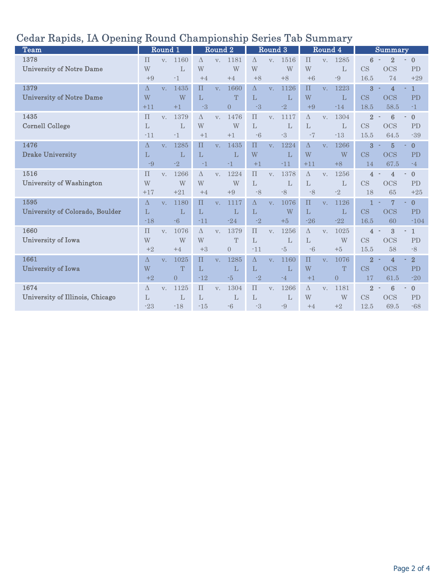| <b>Team</b>                     |              | Round 1        |                |           | Round <sub>2</sub> |                |          | Round 3        |              |                           | Round 4        |                |                        | Summary             |                          |
|---------------------------------|--------------|----------------|----------------|-----------|--------------------|----------------|----------|----------------|--------------|---------------------------|----------------|----------------|------------------------|---------------------|--------------------------|
| 1378                            | $\Pi$        | $V_{\cdot}$    | 1160           | $\Lambda$ | V.                 | 1181           | $\Delta$ | V <sub>1</sub> | 1516         | $\prod$                   | V <sub>1</sub> | 1285           | 6                      | $\overline{2}$      | $\overline{0}$<br>$\sim$ |
| <b>University of Notre Dame</b> | W            |                | L              | W         |                    | W              | W        |                | W            | W                         |                | L              | <b>CS</b>              | <b>OCS</b>          | PD                       |
|                                 | $+9$         |                | $-1$           | $+4$      |                    | $+4$           | $+8$     |                | $+8$         | $+6$                      |                | $-9$           | 16.5                   | 74                  | $+29$                    |
| 1379                            | Δ            | $V_{-}$        | 1435           | $\prod$   | V.                 | 1660           | $\Delta$ | V.             | 1126         | $\prod$                   | V.             | 1223           | $\overline{3}$         | $\overline{4}$      | $\mathbf{1}$<br>×.       |
| <b>University of Notre Dame</b> | W            |                | W              | L         |                    | T              | L        |                | $\mathbf{L}$ | W                         |                | L              | <b>CS</b>              | <b>OCS</b>          | PD                       |
|                                 | $+11$        |                | $+1$           | $-3$      |                    | $\overline{0}$ | $-3$     |                | $-2$         | $+9$                      |                | $-14$          | 18.5                   | 58.5                | $-1$                     |
| 1435                            | $\Pi$        | V.             | 1379           | $\Delta$  | V.                 | 1476           | $\Pi$    | V.             | 1117         | $\Delta$                  | V.             | 1304           | $\overline{2}$         | $6\phantom{1}6$     | $\mathbf{0}$<br>$\sim$   |
| <b>Cornell College</b>          | L            |                | L              | W         |                    | W              | L        |                | L            | L                         |                | L              | <b>CS</b>              | <b>OCS</b>          | <b>PD</b>                |
|                                 | $-11$        |                | $-1$           | $+1$      |                    | $+1$           | $-6$     |                | $-3$         | $^{\mbox{{\small -}}\,}7$ |                | $-13$          | 15.5                   | 64.5                | $-39$                    |
| 1476                            | Δ            | $V_{\cdot}$    | 1285           | $\prod$   | V.                 | 1435           | $\Pi$    | V.             | 1224         | $\Delta$                  | V.             | 1266           | 3                      | $\overline{5}$      | $\mathbf{0}$<br>٠        |
| <b>Drake University</b>         | L            |                | L              | L         |                    | L              | W        |                | $\mathbf{L}$ | W                         |                | W              | $\overline{\text{CS}}$ | <b>OCS</b>          | PD                       |
|                                 | $-9$         |                | $-2$           | $-1$      |                    | $-1$           | $+1$     |                | $-11$        | $+11$                     |                | $+8$           | 14                     | 67.5                | $-4$                     |
| 1516                            | $\Pi$        | V.             | 1266           | $\Delta$  | V.                 | 1224           | $\Pi$    | V.             | 1378         | $\Delta$                  | V.             | 1256           | 4                      | $\overline{4}$      | $\mathbf{0}$<br>$\sim$   |
| University of Washington        | W            |                | W              | W         |                    | W              | L        |                | L            | L                         |                | L              | CS                     | <b>OCS</b>          | <b>PD</b>                |
|                                 | $+17$        |                | $+21$          | $+4$      |                    | $+9$           | $-8$     |                | $-8$         | $-8$                      |                | $-2$           | 18                     | 65                  | $+25$                    |
| 1595                            | $\Delta$     | V.             | 1180           | $\prod$   | V.                 | 1117           | $\Delta$ | V.             | 1076         | $\prod$                   | V.             | 1126           | $\mathbf{1}$           | $\overline{7}$      | $\mathbf{0}$<br>٠        |
| University of Colorado, Boulder | $\mathbf{L}$ |                | L              | L         |                    | L              | L        |                | W            | L                         |                | L              | $\overline{\text{CS}}$ | <b>OCS</b>          | PD                       |
|                                 | $-18$        |                | $-6$           | $-11$     |                    | $-24$          | $-2$     |                | $+5$         | $-26$                     |                | $-22$          | 16.5                   | 60                  | $-104$                   |
| 1660                            | $\Pi$        | V <sub>1</sub> | 1076           | $\Lambda$ | V.                 | 1379           | $\Pi$    | V.             | 1256         | $\Delta$                  | V.             | 1025           | 4 <sup>1</sup>         | 3<br>$\sim$         | $-1$                     |
| University of Iowa              | W            |                | W              | W         |                    | T              | L        |                | L            | L                         |                | W              | <b>CS</b>              | <b>OCS</b>          | <b>PD</b>                |
|                                 | $+2$         |                | $+4$           | $+3$      |                    | $\overline{0}$ | $-11$    |                | $-5$         | $-6$                      |                | $+5$           | 15.5                   | 58                  | $-8$                     |
| 1661                            | $\Delta$     | V.             | 1025           | $\prod$   | V.                 | 1285           | $\Delta$ | V.             | 1160         | $\prod$                   | V.             | 1076           | $\overline{2}$         | $\overline{4}$<br>× | $\overline{2}$<br>٠      |
| University of Iowa              | W            |                | T              | L         |                    | L              | L        |                | L            | W                         |                | T              | CS                     | <b>OCS</b>          | PD                       |
|                                 | $+2$         |                | $\overline{0}$ | $-12$     |                    | $-5$           | $-2$     |                | $-4$         | $+1$                      |                | $\overline{0}$ | 17                     | 61.5                | $-20$                    |
| 1674                            | $\wedge$     | V.             | 1125           | $\prod$   | V.                 | 1304           | $\prod$  | V.             | 1266         | $\Lambda$                 | V.             | 1181           | $\overline{2}$         | $6\phantom{1}6$     | $\mathbf{0}$<br>$\sim$   |
| University of Illinois, Chicago | L            |                | L              | L         |                    | L              | L        |                | L            | W                         |                | W              | CS                     | <b>OCS</b>          | <b>PD</b>                |
|                                 | $-23$        |                | $-18$          | $-15$     |                    | $-6$           | $-3$     |                | $-9$         | $+4$                      |                | $+2$           | 12.5                   | 69.5                | $-68$                    |

## Cedar Rapids, IA Opening Round Championship Series Tab Summary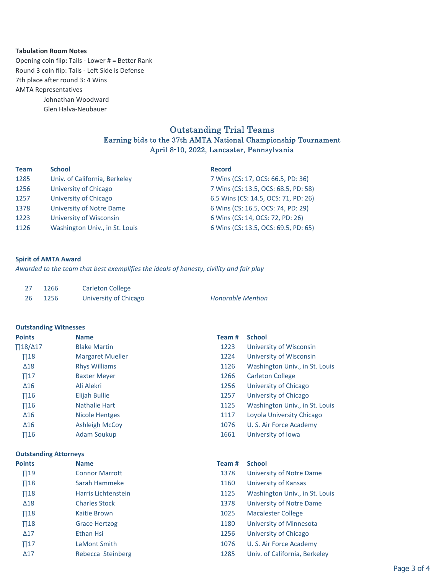### **Tabulation Room Notes**

7th place after round 3: 4 Wins AMTA Representatives Johnathan Woodward Glen Halva-Neubauer Opening coin flip: Tails - Lower # = Better Rank Round 3 coin flip: Tails - Left Side is Defense

## Outstanding Trial Teams Earning bids to the 37th AMTA National Championship Tournament April 8-10, 2022, Lancaster, Pennsylvania

| <b>Team</b> | <b>School</b>                  | <b>Record</b>                        |
|-------------|--------------------------------|--------------------------------------|
| 1285        | Univ. of California, Berkeley  | 7 Wins (CS: 17, OCS: 66.5, PD: 36)   |
| 1256        | University of Chicago          | 7 Wins (CS: 13.5, OCS: 68.5, PD: 58) |
| 1257        | University of Chicago          | 6.5 Wins (CS: 14.5, OCS: 71, PD: 26) |
| 1378        | University of Notre Dame       | 6 Wins (CS: 16.5, OCS: 74, PD: 29)   |
| 1223        | University of Wisconsin        | 6 Wins (CS: 14, OCS: 72, PD: 26)     |
| 1126        | Washington Univ., in St. Louis | 6 Wins (CS: 13.5, OCS: 69.5, PD: 65) |

### **Spirit of AMTA Award**

*Awarded to the team that best exemplifies the ideals of honesty, civility and fair play*

| 27 | 1266 | Carleton College      |                          |
|----|------|-----------------------|--------------------------|
| 26 | 1256 | University of Chicago | <b>Honorable Mention</b> |

#### **Outstanding Witnesses**

| <b>Points</b>         | <b>Name</b>             | Team# | <b>School</b>                  |
|-----------------------|-------------------------|-------|--------------------------------|
| $\Pi$ 18/ $\Delta$ 17 | <b>Blake Martin</b>     | 1223  | University of Wisconsin        |
| $\Pi$ 18              | <b>Margaret Mueller</b> | 1224  | University of Wisconsin        |
| $\Delta$ 18           | <b>Rhys Williams</b>    | 1126  | Washington Univ., in St. Louis |
| $\Pi$ 17              | <b>Baxter Meyer</b>     | 1266  | Carleton College               |
| $\Delta$ 16           | Ali Alekri              | 1256  | University of Chicago          |
| $\Pi$ 16              | Elijah Bullie           | 1257  | University of Chicago          |
| $\Pi$ 16              | Nathalie Hart           | 1125  | Washington Univ., in St. Louis |
| $\Delta 16$           | <b>Nicole Hentges</b>   | 1117  | Loyola University Chicago      |
| $\Delta$ 16           | <b>Ashleigh McCoy</b>   | 1076  | U. S. Air Force Academy        |
| $\Pi$ 16              | Adam Soukup             | 1661  | University of Iowa             |

**Outstanding Attorneys**

| <b>Points</b> | <b>Name</b>           | Team # | <b>School</b>                  |
|---------------|-----------------------|--------|--------------------------------|
| $\Pi$ 19      | <b>Connor Marrott</b> | 1378   | University of Notre Dame       |
| $\Pi$ 18      | Sarah Hammeke         | 1160   | University of Kansas           |
| $\Pi$ 18      | Harris Lichtenstein   | 1125   | Washington Univ., in St. Louis |
| $\Delta$ 18   | <b>Charles Stock</b>  | 1378   | University of Notre Dame       |
| $\Pi$ 18      | Kaitie Brown          | 1025   | <b>Macalester College</b>      |
| $\Pi$ 18      | <b>Grace Hertzog</b>  | 1180   | University of Minnesota        |
| $\Delta$ 17   | Ethan Hsi             | 1256   | University of Chicago          |
| $\Pi$ 17      | LaMont Smith          | 1076   | U. S. Air Force Academy        |
| $\Delta$ 17   | Rebecca Steinberg     | 1285   | Univ. of California, Berkeley  |